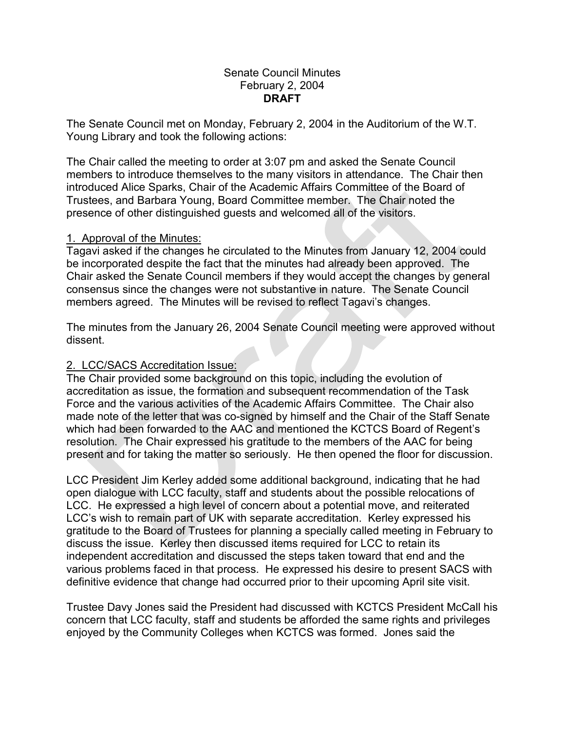## Senate Council Minutes February 2, 2004 **DRAFT**

The Senate Council met on Monday, February 2, 2004 in the Auditorium of the W.T. Young Library and took the following actions:

The Chair called the meeting to order at 3:07 pm and asked the Senate Council members to introduce themselves to the many visitors in attendance. The Chair then introduced Alice Sparks, Chair of the Academic Affairs Committee of the Board of Trustees, and Barbara Young, Board Committee member. The Chair noted the presence of other distinguished guests and welcomed all of the visitors.

## 1. Approval of the Minutes:

Tagavi asked if the changes he circulated to the Minutes from January 12, 2004 could be incorporated despite the fact that the minutes had already been approved. The Chair asked the Senate Council members if they would accept the changes by general consensus since the changes were not substantive in nature. The Senate Council members agreed. The Minutes will be revised to reflect Tagavi's changes.

The minutes from the January 26, 2004 Senate Council meeting were approved without dissent.

## 2. LCC/SACS Accreditation Issue:

The Chair provided some background on this topic, including the evolution of accreditation as issue, the formation and subsequent recommendation of the Task Force and the various activities of the Academic Affairs Committee. The Chair also made note of the letter that was co-signed by himself and the Chair of the Staff Senate which had been forwarded to the AAC and mentioned the KCTCS Board of Regent's resolution. The Chair expressed his gratitude to the members of the AAC for being present and for taking the matter so seriously. He then opened the floor for discussion.

LCC President Jim Kerley added some additional background, indicating that he had open dialogue with LCC faculty, staff and students about the possible relocations of LCC. He expressed a high level of concern about a potential move, and reiterated LCC's wish to remain part of UK with separate accreditation. Kerley expressed his gratitude to the Board of Trustees for planning a specially called meeting in February to discuss the issue. Kerley then discussed items required for LCC to retain its independent accreditation and discussed the steps taken toward that end and the various problems faced in that process. He expressed his desire to present SACS with definitive evidence that change had occurred prior to their upcoming April site visit.

Trustee Davy Jones said the President had discussed with KCTCS President McCall his concern that LCC faculty, staff and students be afforded the same rights and privileges enjoyed by the Community Colleges when KCTCS was formed. Jones said the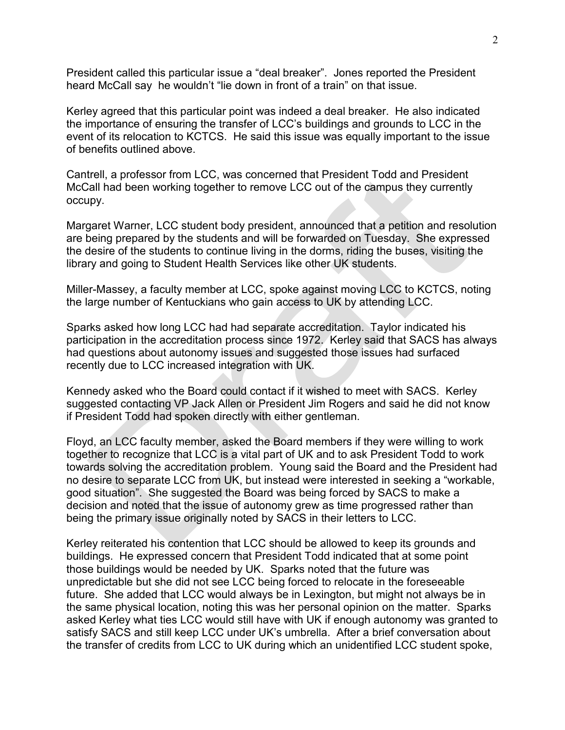President called this particular issue a "deal breaker". Jones reported the President heard McCall say he wouldn't "lie down in front of a train" on that issue.

Kerley agreed that this particular point was indeed a deal breaker. He also indicated the importance of ensuring the transfer of LCC's buildings and grounds to LCC in the event of its relocation to KCTCS. He said this issue was equally important to the issue of benefits outlined above.

Cantrell, a professor from LCC, was concerned that President Todd and President McCall had been working together to remove LCC out of the campus they currently occupy.

Margaret Warner, LCC student body president, announced that a petition and resolution are being prepared by the students and will be forwarded on Tuesday. She expressed the desire of the students to continue living in the dorms, riding the buses, visiting the library and going to Student Health Services like other UK students.

Miller-Massey, a faculty member at LCC, spoke against moving LCC to KCTCS, noting the large number of Kentuckians who gain access to UK by attending LCC.

Sparks asked how long LCC had had separate accreditation. Taylor indicated his participation in the accreditation process since 1972. Kerley said that SACS has always had questions about autonomy issues and suggested those issues had surfaced recently due to LCC increased integration with UK.

Kennedy asked who the Board could contact if it wished to meet with SACS. Kerley suggested contacting VP Jack Allen or President Jim Rogers and said he did not know if President Todd had spoken directly with either gentleman.

Floyd, an LCC faculty member, asked the Board members if they were willing to work together to recognize that LCC is a vital part of UK and to ask President Todd to work towards solving the accreditation problem. Young said the Board and the President had no desire to separate LCC from UK, but instead were interested in seeking a "workable, good situation". She suggested the Board was being forced by SACS to make a decision and noted that the issue of autonomy grew as time progressed rather than being the primary issue originally noted by SACS in their letters to LCC.

Kerley reiterated his contention that LCC should be allowed to keep its grounds and buildings. He expressed concern that President Todd indicated that at some point those buildings would be needed by UK. Sparks noted that the future was unpredictable but she did not see LCC being forced to relocate in the foreseeable future. She added that LCC would always be in Lexington, but might not always be in the same physical location, noting this was her personal opinion on the matter. Sparks asked Kerley what ties LCC would still have with UK if enough autonomy was granted to satisfy SACS and still keep LCC under UK's umbrella. After a brief conversation about the transfer of credits from LCC to UK during which an unidentified LCC student spoke,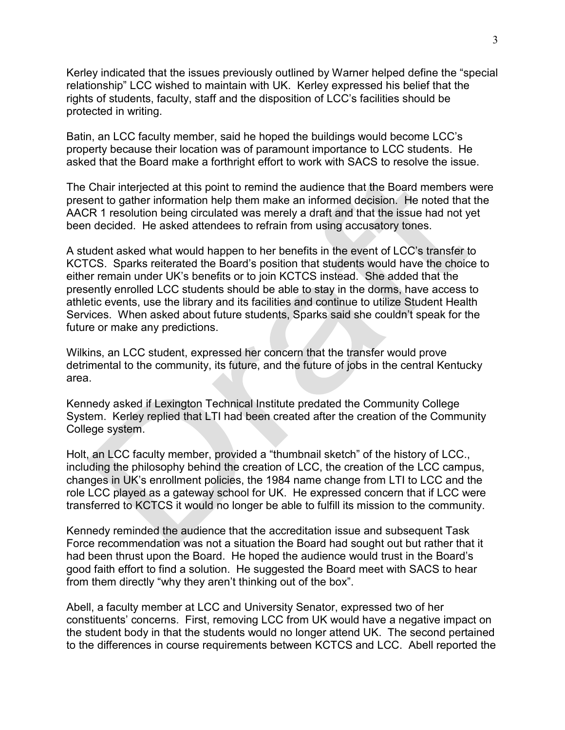Kerley indicated that the issues previously outlined by Warner helped define the "special relationship" LCC wished to maintain with UK. Kerley expressed his belief that the rights of students, faculty, staff and the disposition of LCC's facilities should be protected in writing.

Batin, an LCC faculty member, said he hoped the buildings would become LCC's property because their location was of paramount importance to LCC students. He asked that the Board make a forthright effort to work with SACS to resolve the issue.

The Chair interjected at this point to remind the audience that the Board members were present to gather information help them make an informed decision. He noted that the AACR 1 resolution being circulated was merely a draft and that the issue had not yet been decided. He asked attendees to refrain from using accusatory tones.

A student asked what would happen to her benefits in the event of LCC's transfer to KCTCS. Sparks reiterated the Board's position that students would have the choice to either remain under UK's benefits or to join KCTCS instead. She added that the presently enrolled LCC students should be able to stay in the dorms, have access to athletic events, use the library and its facilities and continue to utilize Student Health Services. When asked about future students, Sparks said she couldn't speak for the future or make any predictions.

Wilkins, an LCC student, expressed her concern that the transfer would prove detrimental to the community, its future, and the future of jobs in the central Kentucky area.

Kennedy asked if Lexington Technical Institute predated the Community College System. Kerley replied that LTI had been created after the creation of the Community College system.

Holt, an LCC faculty member, provided a "thumbnail sketch" of the history of LCC., including the philosophy behind the creation of LCC, the creation of the LCC campus, changes in UK's enrollment policies, the 1984 name change from LTI to LCC and the role LCC played as a gateway school for UK. He expressed concern that if LCC were transferred to KCTCS it would no longer be able to fulfill its mission to the community.

Kennedy reminded the audience that the accreditation issue and subsequent Task Force recommendation was not a situation the Board had sought out but rather that it had been thrust upon the Board. He hoped the audience would trust in the Board's good faith effort to find a solution. He suggested the Board meet with SACS to hear from them directly "why they aren't thinking out of the box".

Abell, a faculty member at LCC and University Senator, expressed two of her constituents' concerns. First, removing LCC from UK would have a negative impact on the student body in that the students would no longer attend UK. The second pertained to the differences in course requirements between KCTCS and LCC. Abell reported the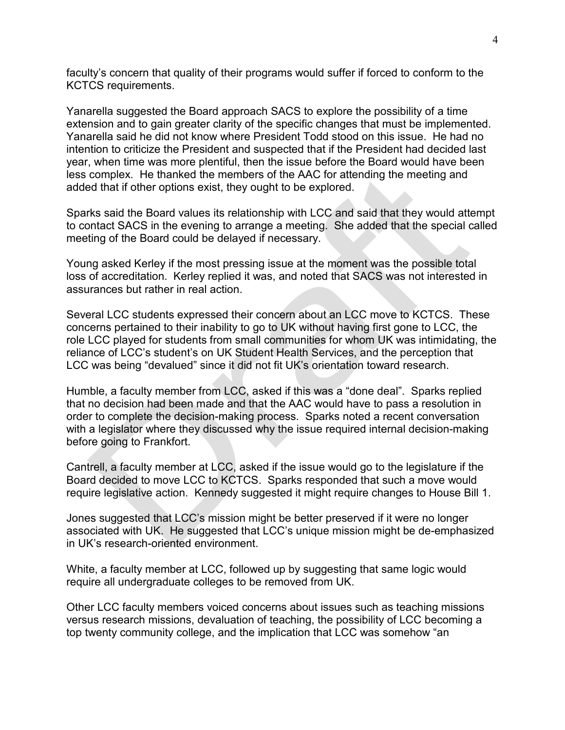faculty's concern that quality of their programs would suffer if forced to conform to the KCTCS requirements.

Yanarella suggested the Board approach SACS to explore the possibility of a time extension and to gain greater clarity of the specific changes that must be implemented. Yanarella said he did not know where President Todd stood on this issue. He had no intention to criticize the President and suspected that if the President had decided last year, when time was more plentiful, then the issue before the Board would have been less complex. He thanked the members of the AAC for attending the meeting and added that if other options exist, they ought to be explored.

Sparks said the Board values its relationship with LCC and said that they would attempt to contact SACS in the evening to arrange a meeting. She added that the special called meeting of the Board could be delayed if necessary.

Young asked Kerley if the most pressing issue at the moment was the possible total loss of accreditation. Kerley replied it was, and noted that SACS was not interested in assurances but rather in real action.

Several LCC students expressed their concern about an LCC move to KCTCS. These concerns pertained to their inability to go to UK without having first gone to LCC, the role LCC played for students from small communities for whom UK was intimidating, the reliance of LCC's student's on UK Student Health Services, and the perception that LCC was being "devalued" since it did not fit UK's orientation toward research.

Humble, a faculty member from LCC, asked if this was a "done deal". Sparks replied that no decision had been made and that the AAC would have to pass a resolution in order to complete the decision-making process. Sparks noted a recent conversation with a legislator where they discussed why the issue required internal decision-making before going to Frankfort.

Cantrell, a faculty member at LCC, asked if the issue would go to the legislature if the Board decided to move LCC to KCTCS. Sparks responded that such a move would require legislative action. Kennedy suggested it might require changes to House Bill 1.

Jones suggested that LCC's mission might be better preserved if it were no longer associated with UK. He suggested that LCC's unique mission might be de-emphasized in UK's research-oriented environment.

White, a faculty member at LCC, followed up by suggesting that same logic would require all undergraduate colleges to be removed from UK.

Other LCC faculty members voiced concerns about issues such as teaching missions versus research missions, devaluation of teaching, the possibility of LCC becoming a top twenty community college, and the implication that LCC was somehow "an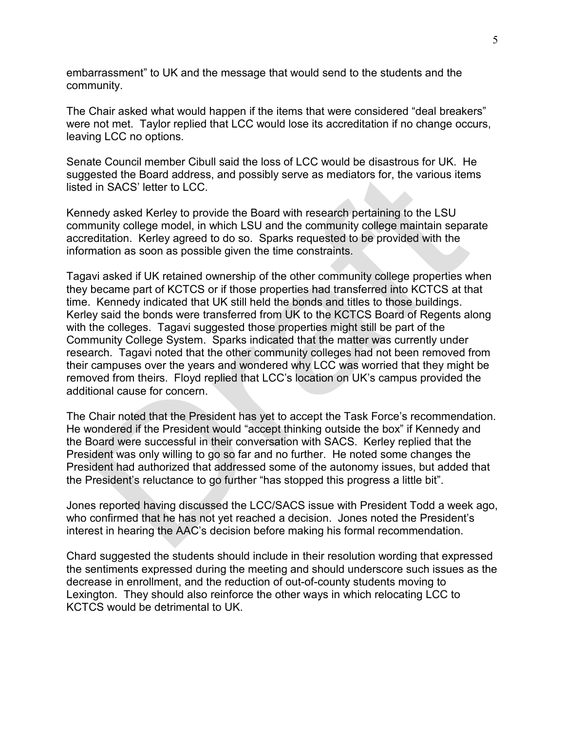embarrassment" to UK and the message that would send to the students and the community.

The Chair asked what would happen if the items that were considered "deal breakers" were not met. Taylor replied that LCC would lose its accreditation if no change occurs, leaving LCC no options.

Senate Council member Cibull said the loss of LCC would be disastrous for UK. He suggested the Board address, and possibly serve as mediators for, the various items listed in SACS' letter to LCC.

Kennedy asked Kerley to provide the Board with research pertaining to the LSU community college model, in which LSU and the community college maintain separate accreditation. Kerley agreed to do so. Sparks requested to be provided with the information as soon as possible given the time constraints.

Tagavi asked if UK retained ownership of the other community college properties when they became part of KCTCS or if those properties had transferred into KCTCS at that time. Kennedy indicated that UK still held the bonds and titles to those buildings. Kerley said the bonds were transferred from UK to the KCTCS Board of Regents along with the colleges. Tagavi suggested those properties might still be part of the Community College System. Sparks indicated that the matter was currently under research. Tagavi noted that the other community colleges had not been removed from their campuses over the years and wondered why LCC was worried that they might be removed from theirs. Floyd replied that LCC's location on UK's campus provided the additional cause for concern.

The Chair noted that the President has yet to accept the Task Force's recommendation. He wondered if the President would "accept thinking outside the box" if Kennedy and the Board were successful in their conversation with SACS. Kerley replied that the President was only willing to go so far and no further. He noted some changes the President had authorized that addressed some of the autonomy issues, but added that the President's reluctance to go further "has stopped this progress a little bit".

Jones reported having discussed the LCC/SACS issue with President Todd a week ago, who confirmed that he has not yet reached a decision. Jones noted the President's interest in hearing the AAC's decision before making his formal recommendation.

Chard suggested the students should include in their resolution wording that expressed the sentiments expressed during the meeting and should underscore such issues as the decrease in enrollment, and the reduction of out-of-county students moving to Lexington. They should also reinforce the other ways in which relocating LCC to KCTCS would be detrimental to UK.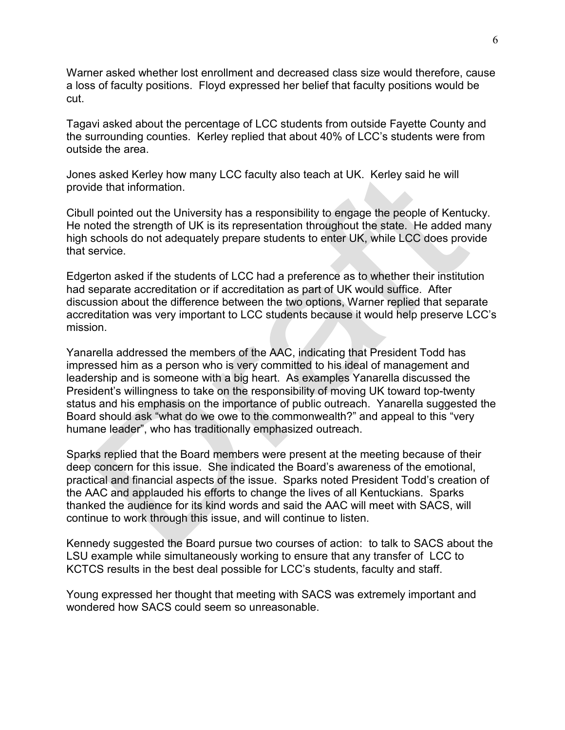Warner asked whether lost enrollment and decreased class size would therefore, cause a loss of faculty positions. Floyd expressed her belief that faculty positions would be cut.

Tagavi asked about the percentage of LCC students from outside Fayette County and the surrounding counties. Kerley replied that about 40% of LCC's students were from outside the area.

Jones asked Kerley how many LCC faculty also teach at UK. Kerley said he will provide that information.

Cibull pointed out the University has a responsibility to engage the people of Kentucky. He noted the strength of UK is its representation throughout the state. He added many high schools do not adequately prepare students to enter UK, while LCC does provide that service.

Edgerton asked if the students of LCC had a preference as to whether their institution had separate accreditation or if accreditation as part of UK would suffice. After discussion about the difference between the two options, Warner replied that separate accreditation was very important to LCC students because it would help preserve LCC's mission.

Yanarella addressed the members of the AAC, indicating that President Todd has impressed him as a person who is very committed to his ideal of management and leadership and is someone with a big heart. As examples Yanarella discussed the President's willingness to take on the responsibility of moving UK toward top-twenty status and his emphasis on the importance of public outreach. Yanarella suggested the Board should ask "what do we owe to the commonwealth?" and appeal to this "very humane leader", who has traditionally emphasized outreach.

Sparks replied that the Board members were present at the meeting because of their deep concern for this issue. She indicated the Board's awareness of the emotional, practical and financial aspects of the issue. Sparks noted President Todd's creation of the AAC and applauded his efforts to change the lives of all Kentuckians. Sparks thanked the audience for its kind words and said the AAC will meet with SACS, will continue to work through this issue, and will continue to listen.

Kennedy suggested the Board pursue two courses of action: to talk to SACS about the LSU example while simultaneously working to ensure that any transfer of LCC to KCTCS results in the best deal possible for LCC's students, faculty and staff.

Young expressed her thought that meeting with SACS was extremely important and wondered how SACS could seem so unreasonable.